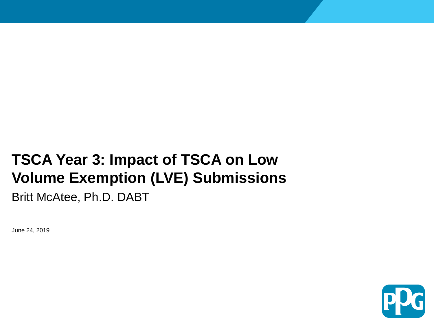## **TSCA Year 3: Impact of TSCA on Low Volume Exemption (LVE) Submissions**

Britt McAtee, Ph.D. DABT

June 24, 2019

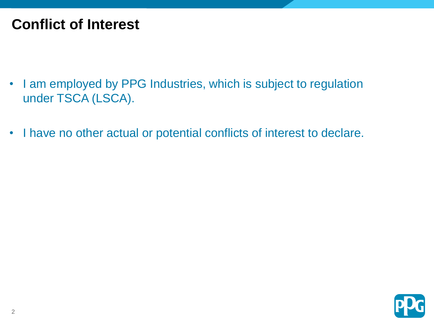## **Conflict of Interest**

- I am employed by PPG Industries, which is subject to regulation under TSCA (LSCA).
- I have no other actual or potential conflicts of interest to declare.

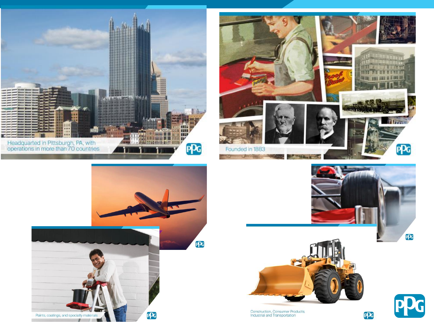



ppc







ppg



Construction, Consumer Products,<br>Industrial and Transportation

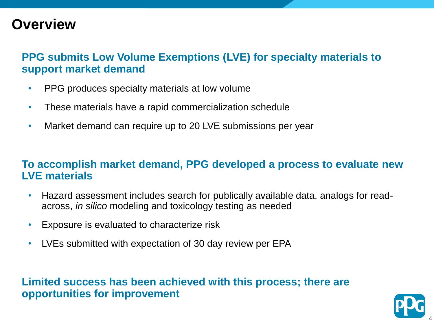## **Overview**

**PPG submits Low Volume Exemptions (LVE) for specialty materials to support market demand**

- PPG produces specialty materials at low volume
- These materials have a rapid commercialization schedule
- Market demand can require up to 20 LVE submissions per year

#### **To accomplish market demand, PPG developed a process to evaluate new LVE materials**

- Hazard assessment includes search for publically available data, analogs for readacross, *in silico* modeling and toxicology testing as needed
- Exposure is evaluated to characterize risk
- LVEs submitted with expectation of 30 day review per EPA

**Limited success has been achieved with this process; there are opportunities for improvement**

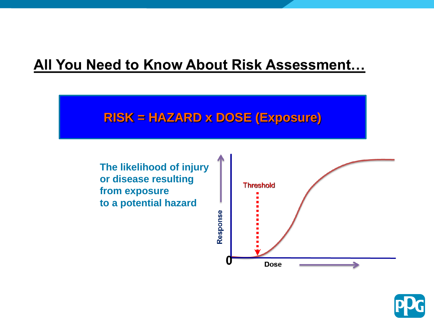## **All You Need to Know About Risk Assessment…**

## **RISK = HAZARD x DOSE (Exposure)**

**The likelihood of injury or disease resulting from exposure to a potential hazard**



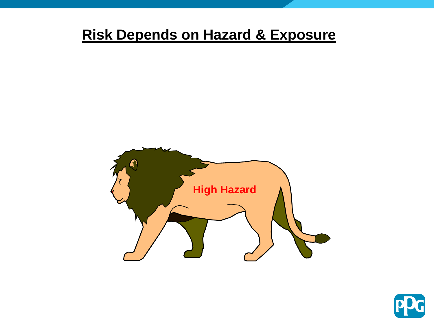## **Risk Depends on Hazard & Exposure**



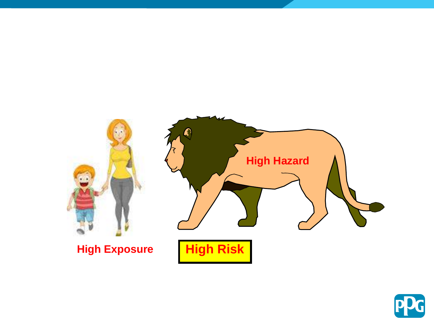

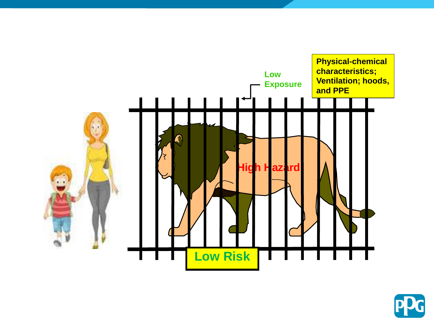

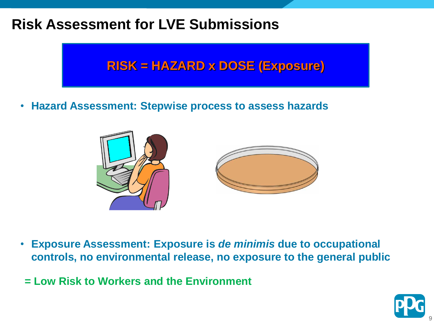## **Risk Assessment for LVE Submissions**

## **RISK = HAZARD x DOSE (Exposure)**

• **Hazard Assessment: Stepwise process to assess hazards**



- **Exposure Assessment: Exposure is** *de minimis* **due to occupational controls, no environmental release, no exposure to the general public**
- **= Low Risk to Workers and the Environment**

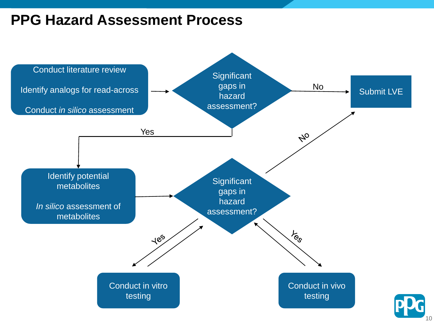## **PPG Hazard Assessment Process**



10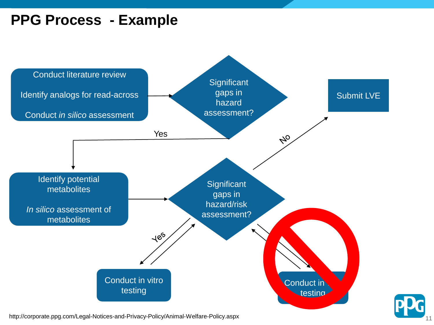## **PPG Process - Example**



11

http://corporate.ppg.com/Legal-Notices-and-Privacy-Policy/Animal-Welfare-Policy.aspx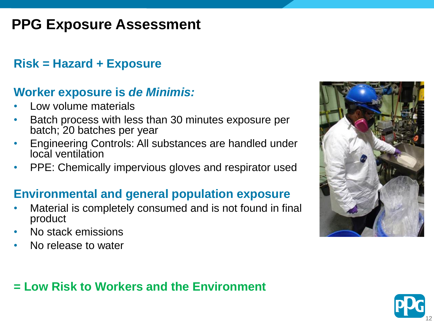## **PPG Exposure Assessment**

#### **Risk = Hazard + Exposure**

#### **Worker exposure is** *de Minimis:*

- Low volume materials
- Batch process with less than 30 minutes exposure per batch; 20 batches per year
- Engineering Controls: All substances are handled under local ventilation
- PPE: Chemically impervious gloves and respirator used

#### **Environmental and general population exposure**

- Material is completely consumed and is not found in final product
- No stack emissions
- No release to water

#### **= Low Risk to Workers and the Environment**



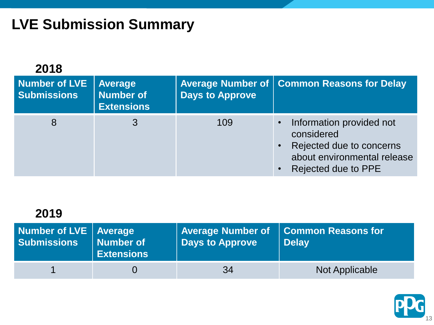## **LVE Submission Summary**

| 2018                                       |                                                         |                        |                                                                                                                                                      |
|--------------------------------------------|---------------------------------------------------------|------------------------|------------------------------------------------------------------------------------------------------------------------------------------------------|
| <b>Number of LVE</b><br><b>Submissions</b> | <b>Average</b><br><b>Number of</b><br><b>Extensions</b> | <b>Days to Approve</b> | Average Number of   Common Reasons for Delay                                                                                                         |
| 8                                          | 3                                                       | 109                    | Information provided not<br>$\bullet$<br>considered<br>• Rejected due to concerns<br>about environmental release<br>Rejected due to PPE<br>$\bullet$ |

#### **2019**

| Number of LVE   Average | Number of         | <b>Days to Approve</b> | Average Number of $\ $ Common Reasons for |
|-------------------------|-------------------|------------------------|-------------------------------------------|
| <b>Submissions</b>      | <b>Extensions</b> |                        | <b>Delay</b>                              |
|                         |                   | 34                     | Not Applicable                            |

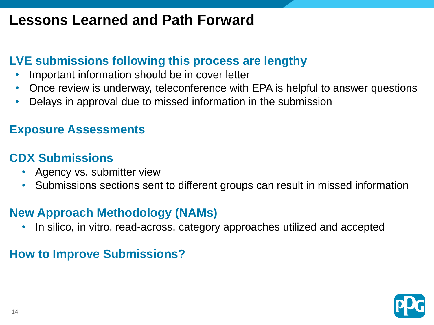## **Lessons Learned and Path Forward**

#### **LVE submissions following this process are lengthy**

- Important information should be in cover letter
- Once review is underway, teleconference with EPA is helpful to answer questions
- Delays in approval due to missed information in the submission

#### **Exposure Assessments**

#### **CDX Submissions**

- Agency vs. submitter view
- Submissions sections sent to different groups can result in missed information

#### **New Approach Methodology (NAMs)**

• In silico, in vitro, read-across, category approaches utilized and accepted

### **How to Improve Submissions?**